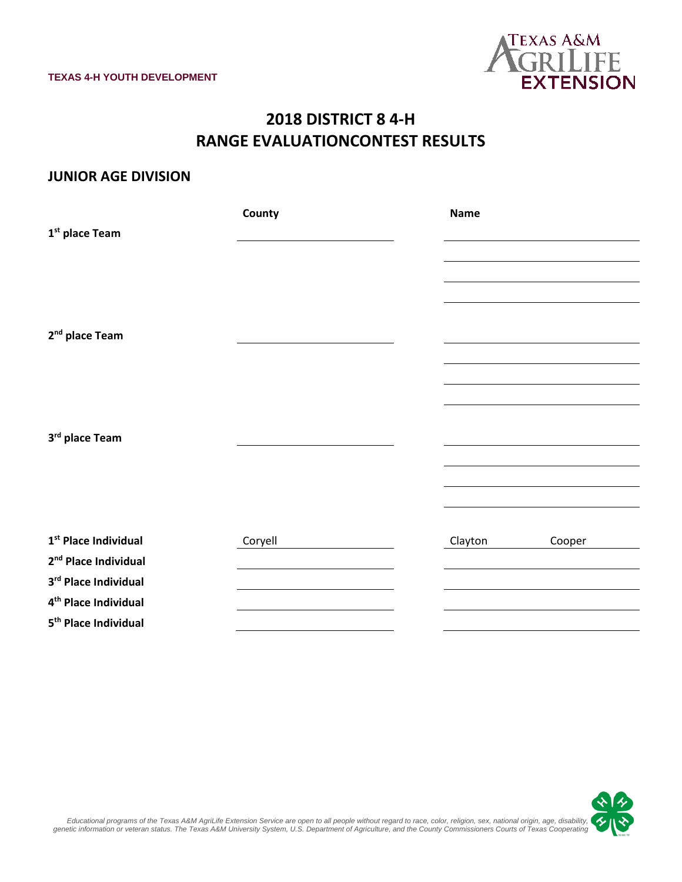

## **2018 DISTRICT 8 4-H RANGE EVALUATIONCONTEST RESULTS**

#### **JUNIOR AGE DIVISION**

|                                  | County  | <b>Name</b>       |  |
|----------------------------------|---------|-------------------|--|
| 1 <sup>st</sup> place Team       |         |                   |  |
|                                  |         |                   |  |
|                                  |         |                   |  |
|                                  |         |                   |  |
|                                  |         |                   |  |
| 2 <sup>nd</sup> place Team       |         |                   |  |
|                                  |         |                   |  |
|                                  |         |                   |  |
|                                  |         |                   |  |
|                                  |         |                   |  |
| 3rd place Team                   |         |                   |  |
|                                  |         |                   |  |
|                                  |         |                   |  |
|                                  |         |                   |  |
|                                  |         |                   |  |
| 1 <sup>st</sup> Place Individual | Coryell | Clayton<br>Cooper |  |
| 2 <sup>nd</sup> Place Individual |         |                   |  |
| 3rd Place Individual             |         |                   |  |
| 4 <sup>th</sup> Place Individual |         |                   |  |
| 5 <sup>th</sup> Place Individual |         |                   |  |



,Educational programs of the Texas A&M AgriLife Extension Service are open to all people without regard to race, color, religion, sex, national origin, age, disability<br>genetic information or veteran status. The Texas A&M U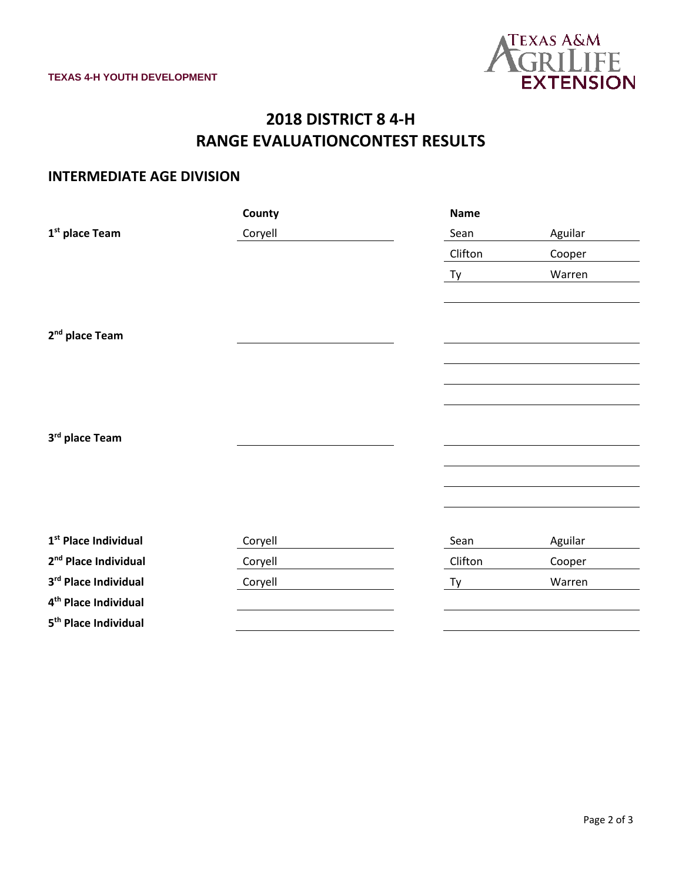

# **2018 DISTRICT 8 4-H RANGE EVALUATIONCONTEST RESULTS**

### **INTERMEDIATE AGE DIVISION**

|                                  | County  | <b>Name</b> |         |
|----------------------------------|---------|-------------|---------|
| 1 <sup>st</sup> place Team       | Coryell | Sean        | Aguilar |
|                                  |         | Clifton     | Cooper  |
|                                  |         | Ty          | Warren  |
|                                  |         |             |         |
|                                  |         |             |         |
| 2 <sup>nd</sup> place Team       |         |             |         |
|                                  |         |             |         |
|                                  |         |             |         |
|                                  |         |             |         |
|                                  |         |             |         |
| 3rd place Team                   |         |             |         |
|                                  |         |             |         |
|                                  |         |             |         |
|                                  |         |             |         |
|                                  |         |             |         |
| $1st$ Place Individual           | Coryell | Sean        | Aguilar |
| 2 <sup>nd</sup> Place Individual | Coryell | Clifton     | Cooper  |
| 3rd Place Individual             | Coryell | Ty          | Warren  |
| 4 <sup>th</sup> Place Individual |         |             |         |
| 5 <sup>th</sup> Place Individual |         |             |         |